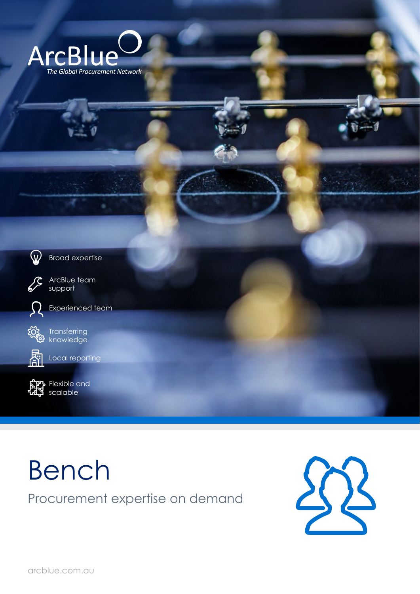



Broad expertise



ArcBlue team support





Transferring knowledge



Local reporting



Flexible and scalable

## Bench Procurement expertise on demand